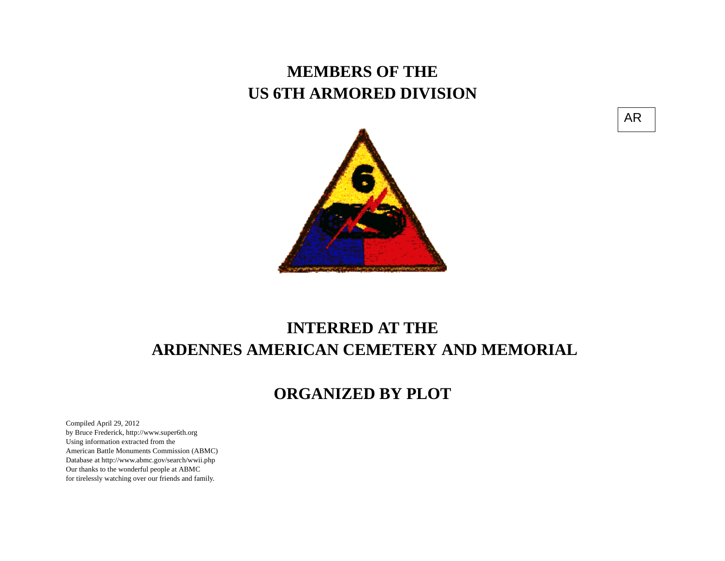## **MEMBERS OF THE US 6TH ARMORED DIVISION**





## **INTERRED AT THE ARDENNES AMERICAN CEMETERY AND MEMORIAL**

## **ORGANIZED BY PLOT**

Compiled April 29, 2012 by Bruce Frederick, http://www.super6th.orgUsing information extracted from the American Battle Monuments Commission (ABMC) Database at http://www.abmc.gov/search/wwii.phpOur thanks to the wonderful people at ABMC for tirelessly watching over our friends and family.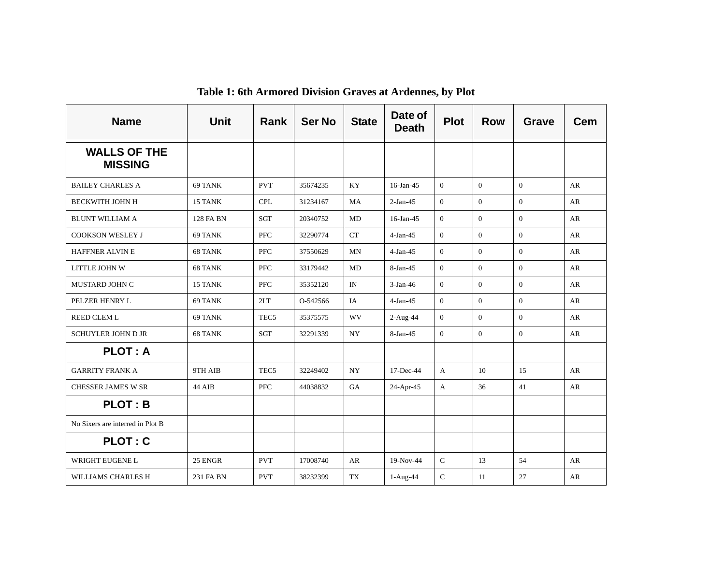| <b>Name</b>                           | <b>Unit</b>      | <b>Rank</b>      | <b>Ser No</b> | <b>State</b> | Date of<br><b>Death</b> | <b>Plot</b>    | <b>Row</b>     | <b>Grave</b>   | <b>Cem</b> |
|---------------------------------------|------------------|------------------|---------------|--------------|-------------------------|----------------|----------------|----------------|------------|
| <b>WALLS OF THE</b><br><b>MISSING</b> |                  |                  |               |              |                         |                |                |                |            |
| <b>BAILEY CHARLES A</b>               | 69 TANK          | <b>PVT</b>       | 35674235      | KY           | $16$ -Jan-45            | $\overline{0}$ | $\overline{0}$ | $\overline{0}$ | AR         |
| <b>BECKWITH JOHN H</b>                | 15 TANK          | <b>CPL</b>       | 31234167      | MA           | $2-Jan-45$              | $\overline{0}$ | $\mathbf{0}$   | $\Omega$       | AR         |
| <b>BLUNT WILLIAM A</b>                | <b>128 FA BN</b> | <b>SGT</b>       | 20340752      | MD           | $16$ -Jan-45            | $\overline{0}$ | $\Omega$       | $\Omega$       | AR         |
| <b>COOKSON WESLEY J</b>               | 69 TANK          | <b>PFC</b>       | 32290774      | <b>CT</b>    | $4-Jan-45$              | $\overline{0}$ | $\theta$       | $\theta$       | AR         |
| HAFFNER ALVIN E                       | 68 TANK          | <b>PFC</b>       | 37550629      | MN           | $4-Jan-45$              | $\overline{0}$ | $\overline{0}$ | $\overline{0}$ | AR         |
| LITTLE JOHN W                         | 68 TANK          | <b>PFC</b>       | 33179442      | MD           | 8-Jan-45                | $\overline{0}$ | $\mathbf{0}$   | $\theta$       | AR         |
| MUSTARD JOHN C                        | 15 TANK          | <b>PFC</b>       | 35352120      | IN           | $3-Jan-46$              | $\overline{0}$ | $\mathbf{0}$   | $\theta$       | AR         |
| PELZER HENRY L                        | 69 TANK          | 2LT              | O-542566      | IA           | $4-Jan-45$              | $\overline{0}$ | $\Omega$       | $\theta$       | AR         |
| <b>REED CLEM L</b>                    | 69 TANK          | TEC <sub>5</sub> | 35375575      | WV           | $2-Aug-44$              | $\overline{0}$ | $\theta$       | $\theta$       | AR         |
| <b>SCHUYLER JOHN D JR</b>             | 68 TANK          | SGT              | 32291339      | NY.          | 8-Jan-45                | $\overline{0}$ | $\overline{0}$ | $\overline{0}$ | AR         |
| <b>PLOT: A</b>                        |                  |                  |               |              |                         |                |                |                |            |
| <b>GARRITY FRANK A</b>                | 9TH AIB          | TEC <sub>5</sub> | 32249402      | <b>NY</b>    | 17-Dec-44               | $\mathbf{A}$   | 10             | 15             | AR         |
| <b>CHESSER JAMES W SR</b>             | 44 AIB           | <b>PFC</b>       | 44038832      | <b>GA</b>    | 24-Apr-45               | $\mathbf{A}$   | 36             | 41             | AR         |
| <b>PLOT: B</b>                        |                  |                  |               |              |                         |                |                |                |            |
| No Sixers are interred in Plot B      |                  |                  |               |              |                         |                |                |                |            |
| <b>PLOT: C</b>                        |                  |                  |               |              |                         |                |                |                |            |
| WRIGHT EUGENE L                       | 25 ENGR          | <b>PVT</b>       | 17008740      | AR           | 19-Nov-44               | $\mathcal{C}$  | 13             | 54             | AR         |
| WILLIAMS CHARLES H                    | 231 FA BN        | <b>PVT</b>       | 38232399      | TX           | 1-Aug-44                | $\mathbf C$    | 11             | 27             | AR         |

**Table 1: 6th Armored Division Graves at Ardennes, by Plot**